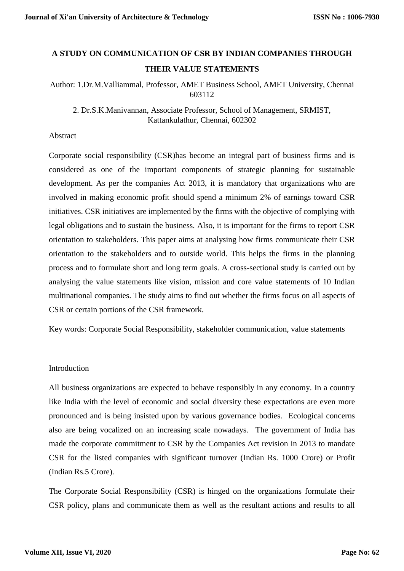# **A STUDY ON COMMUNICATION OF CSR BY INDIAN COMPANIES THROUGH THEIR VALUE STATEMENTS**

# Author: 1.Dr.M.Valliammal, Professor, AMET Business School, AMET University, Chennai 603112

2. Dr.S.K.Manivannan, Associate Professor, School of Management, SRMIST, Kattankulathur, Chennai, 602302

### Abstract

Corporate social responsibility (CSR)has become an integral part of business firms and is considered as one of the important components of strategic planning for sustainable development. As per the companies Act 2013, it is mandatory that organizations who are involved in making economic profit should spend a minimum 2% of earnings toward CSR initiatives. CSR initiatives are implemented by the firms with the objective of complying with legal obligations and to sustain the business. Also, it is important for the firms to report CSR orientation to stakeholders. This paper aims at analysing how firms communicate their CSR orientation to the stakeholders and to outside world. This helps the firms in the planning process and to formulate short and long term goals. A cross-sectional study is carried out by analysing the value statements like vision, mission and core value statements of 10 Indian multinational companies. The study aims to find out whether the firms focus on all aspects of CSR or certain portions of the CSR framework.

Key words: Corporate Social Responsibility, stakeholder communication, value statements

## Introduction

All business organizations are expected to behave responsibly in any economy. In a country like India with the level of economic and social diversity these expectations are even more pronounced and is being insisted upon by various governance bodies. Ecological concerns also are being vocalized on an increasing scale nowadays. The government of India has made the corporate commitment to CSR by the Companies Act revision in 2013 to mandate CSR for the listed companies with significant turnover (Indian Rs. 1000 Crore) or Profit (Indian Rs.5 Crore).

The Corporate Social Responsibility (CSR) is hinged on the organizations formulate their CSR policy, plans and communicate them as well as the resultant actions and results to all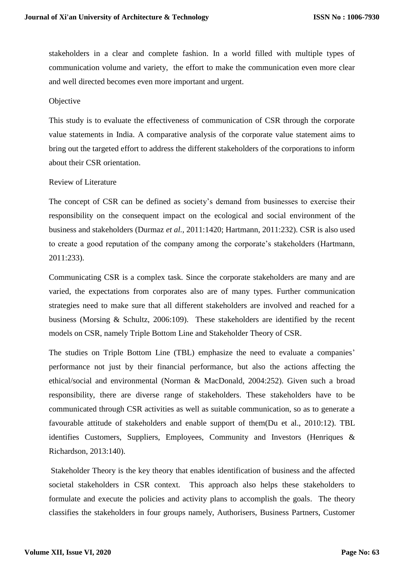stakeholders in a clear and complete fashion. In a world filled with multiple types of communication volume and variety, the effort to make the communication even more clear and well directed becomes even more important and urgent.

## **Objective**

This study is to evaluate the effectiveness of communication of CSR through the corporate value statements in India. A comparative analysis of the corporate value statement aims to bring out the targeted effort to address the different stakeholders of the corporations to inform about their CSR orientation.

## Review of Literature

The concept of CSR can be defined as society's demand from businesses to exercise their responsibility on the consequent impact on the ecological and social environment of the business and stakeholders (Durmaz *et al.*, 2011:1420; Hartmann, 2011:232). CSR is also used to create a good reputation of the company among the corporate's stakeholders (Hartmann, 2011:233).

Communicating CSR is a complex task. Since the corporate stakeholders are many and are varied, the expectations from corporates also are of many types. Further communication strategies need to make sure that all different stakeholders are involved and reached for a business (Morsing & Schultz, 2006:109). These stakeholders are identified by the recent models on CSR, namely Triple Bottom Line and Stakeholder Theory of CSR.

The studies on Triple Bottom Line (TBL) emphasize the need to evaluate a companies' performance not just by their financial performance, but also the actions affecting the ethical/social and environmental (Norman & MacDonald, 2004:252). Given such a broad responsibility, there are diverse range of stakeholders. These stakeholders have to be communicated through CSR activities as well as suitable communication, so as to generate a favourable attitude of stakeholders and enable support of them(Du et al., 2010:12). TBL identifies Customers, Suppliers, Employees, Community and Investors (Henriques & Richardson, 2013:140).

Stakeholder Theory is the key theory that enables identification of business and the affected societal stakeholders in CSR context. This approach also helps these stakeholders to formulate and execute the policies and activity plans to accomplish the goals. The theory classifies the stakeholders in four groups namely, Authorisers, Business Partners, Customer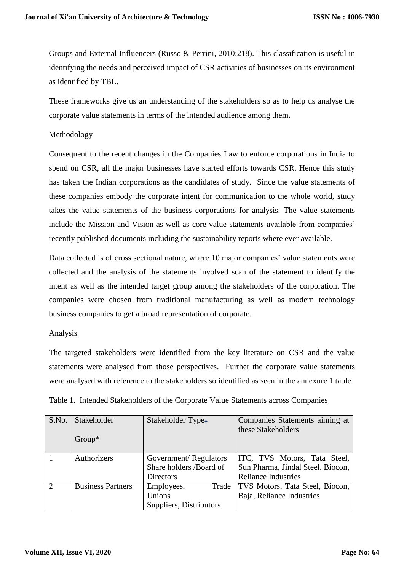Groups and External Influencers (Russo & Perrini, 2010:218). This classification is useful in identifying the needs and perceived impact of CSR activities of businesses on its environment as identified by TBL.

These frameworks give us an understanding of the stakeholders so as to help us analyse the corporate value statements in terms of the intended audience among them.

## Methodology

Consequent to the recent changes in the Companies Law to enforce corporations in India to spend on CSR, all the major businesses have started efforts towards CSR. Hence this study has taken the Indian corporations as the candidates of study. Since the value statements of these companies embody the corporate intent for communication to the whole world, study takes the value statements of the business corporations for analysis. The value statements include the Mission and Vision as well as core value statements available from companies' recently published documents including the sustainability reports where ever available.

Data collected is of cross sectional nature, where 10 major companies' value statements were collected and the analysis of the statements involved scan of the statement to identify the intent as well as the intended target group among the stakeholders of the corporation. The companies were chosen from traditional manufacturing as well as modern technology business companies to get a broad representation of corporate.

#### Analysis

The targeted stakeholders were identified from the key literature on CSR and the value statements were analysed from those perspectives. Further the corporate value statements were analysed with reference to the stakeholders so identified as seen in the annexure 1 table.

| S.No.          | Stakeholder<br>$Group^*$ | Stakeholder Type+                                                    | Companies Statements aiming at<br>these Stakeholders                                            |
|----------------|--------------------------|----------------------------------------------------------------------|-------------------------------------------------------------------------------------------------|
|                | Authorizers              | Government/Regulators<br>Share holders /Board of<br><b>Directors</b> | ITC, TVS Motors, Tata Steel,<br>Sun Pharma, Jindal Steel, Biocon,<br><b>Reliance Industries</b> |
| $\overline{2}$ | <b>Business Partners</b> | Employees,<br>Trade<br>Unions<br>Suppliers, Distributors             | TVS Motors, Tata Steel, Biocon,<br>Baja, Reliance Industries                                    |

Table 1. Intended Stakeholders of the Corporate Value Statements across Companies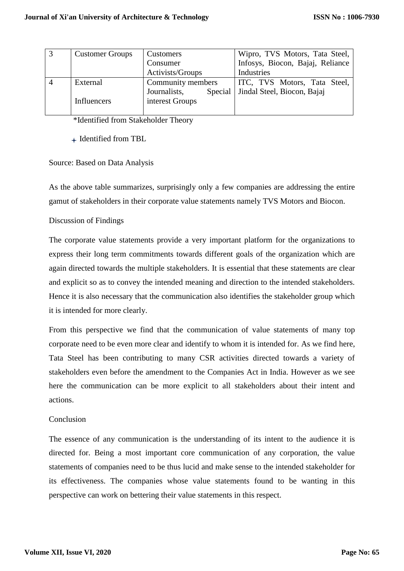| <b>Customer Groups</b> | Customers               | Wipro, TVS Motors, Tata Steel,   |
|------------------------|-------------------------|----------------------------------|
|                        | Consumer                | Infosys, Biocon, Bajaj, Reliance |
|                        | Activists/Groups        | Industries                       |
| External               | Community members       | ITC, TVS Motors, Tata Steel,     |
|                        | Journalists,<br>Special | Jindal Steel, Biocon, Bajaj      |
| Influencers            | interest Groups         |                                  |
|                        |                         |                                  |

\*Identified from Stakeholder Theory

+ Identified from TBL

# Source: Based on Data Analysis

As the above table summarizes, surprisingly only a few companies are addressing the entire gamut of stakeholders in their corporate value statements namely TVS Motors and Biocon.

## Discussion of Findings

The corporate value statements provide a very important platform for the organizations to express their long term commitments towards different goals of the organization which are again directed towards the multiple stakeholders. It is essential that these statements are clear and explicit so as to convey the intended meaning and direction to the intended stakeholders. Hence it is also necessary that the communication also identifies the stakeholder group which it is intended for more clearly.

From this perspective we find that the communication of value statements of many top corporate need to be even more clear and identify to whom it is intended for. As we find here, Tata Steel has been contributing to many CSR activities directed towards a variety of stakeholders even before the amendment to the Companies Act in India. However as we see here the communication can be more explicit to all stakeholders about their intent and actions.

## Conclusion

The essence of any communication is the understanding of its intent to the audience it is directed for. Being a most important core communication of any corporation, the value statements of companies need to be thus lucid and make sense to the intended stakeholder for its effectiveness. The companies whose value statements found to be wanting in this perspective can work on bettering their value statements in this respect.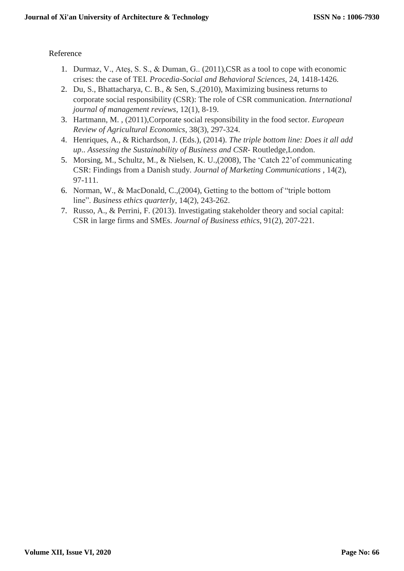# Reference

- 1. Durmaz, V., Ateş, S. S., & Duman, G.. (2011),CSR as a tool to cope with economic crises: the case of TEI. *Procedia-Social and Behavioral Sciences*, 24, 1418-1426.
- 2. Du, S., Bhattacharya, C. B., & Sen, S.,(2010), Maximizing business returns to corporate social responsibility (CSR): The role of CSR communication. *International journal of management reviews*, 12(1), 8-19.
- 3. Hartmann, M. , (2011),Corporate social responsibility in the food sector. *European Review of Agricultural Economics*, 38(3), 297-324.
- 4. Henriques, A., & Richardson, J. (Eds.), (2014). *The triple bottom line: Does it all add up*.. *Assessing the Sustainability of Business and CSR*- Routledge,London.
- 5. Morsing, M., Schultz, M., & Nielsen, K. U.,(2008), The 'Catch 22'of communicating CSR: Findings from a Danish study. *Journal of Marketing Communications* , 14(2), 97-111.
- 6. Norman, W., & MacDonald, C.,(2004), Getting to the bottom of "triple bottom line". *Business ethics quarterly*, 14(2), 243-262.
- 7. Russo, A., & Perrini, F. (2013). Investigating stakeholder theory and social capital: CSR in large firms and SMEs. *Journal of Business ethics*, 91(2), 207-221.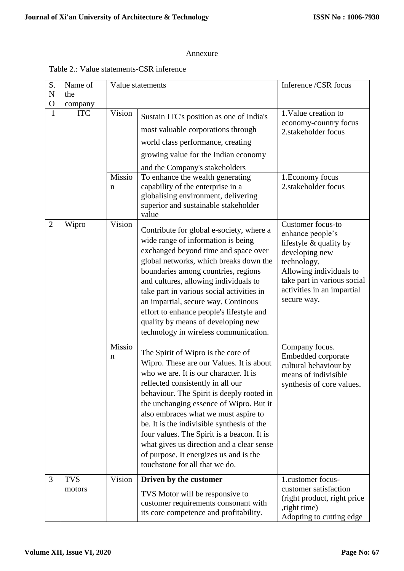#### Annexure

## Table 2.: Value statements-CSR inference

| S.             | Name of               |        | Value statements                                                                    | Inference /CSR focus                      |
|----------------|-----------------------|--------|-------------------------------------------------------------------------------------|-------------------------------------------|
| $\mathbf N$    | the                   |        |                                                                                     |                                           |
| O              | company<br><b>ITC</b> | Vision |                                                                                     | 1. Value creation to                      |
| 1              |                       |        | Sustain ITC's position as one of India's                                            | economy-country focus                     |
|                |                       |        | most valuable corporations through                                                  | 2.stakeholder focus                       |
|                |                       |        | world class performance, creating                                                   |                                           |
|                |                       |        | growing value for the Indian economy                                                |                                           |
|                |                       |        | and the Company's stakeholders                                                      |                                           |
|                |                       | Missio | To enhance the wealth generating<br>capability of the enterprise in a               | 1. Economy focus<br>2.stakeholder focus   |
|                |                       | n      | globalising environment, delivering                                                 |                                           |
|                |                       |        | superior and sustainable stakeholder                                                |                                           |
|                |                       |        | value                                                                               |                                           |
| $\overline{2}$ | Wipro                 | Vision | Contribute for global e-society, where a                                            | Customer focus-to<br>enhance people's     |
|                |                       |        | wide range of information is being                                                  | lifestyle & quality by                    |
|                |                       |        | exchanged beyond time and space over                                                | developing new                            |
|                |                       |        | global networks, which breaks down the<br>boundaries among countries, regions       | technology.<br>Allowing individuals to    |
|                |                       |        | and cultures, allowing individuals to                                               | take part in various social               |
|                |                       |        | take part in various social activities in                                           | activities in an impartial                |
|                |                       |        | an impartial, secure way. Continous                                                 | secure way.                               |
|                |                       |        | effort to enhance people's lifestyle and                                            |                                           |
|                |                       |        | quality by means of developing new<br>technology in wireless communication.         |                                           |
|                |                       | Missio |                                                                                     |                                           |
|                |                       | n      | The Spirit of Wipro is the core of                                                  | Company focus.<br>Embedded corporate      |
|                |                       |        | Wipro. These are our Values. It is about                                            | cultural behaviour by                     |
|                |                       |        | who we are. It is our character. It is<br>reflected consistently in all our         | means of indivisible                      |
|                |                       |        | behaviour. The Spirit is deeply rooted in                                           | synthesis of core values.                 |
|                |                       |        | the unchanging essence of Wipro. But it                                             |                                           |
|                |                       |        | also embraces what we must aspire to                                                |                                           |
|                |                       |        | be. It is the indivisible synthesis of the                                          |                                           |
|                |                       |        | four values. The Spirit is a beacon. It is                                          |                                           |
|                |                       |        | what gives us direction and a clear sense<br>of purpose. It energizes us and is the |                                           |
|                |                       |        | touchstone for all that we do.                                                      |                                           |
| 3              | <b>TVS</b>            | Vision | Driven by the customer                                                              | 1.customer focus-                         |
|                | motors                |        | TVS Motor will be responsive to                                                     | customer satisfaction                     |
|                |                       |        | customer requirements consonant with                                                | (right product, right price)              |
|                |                       |        | its core competence and profitability.                                              | , right time)<br>Adopting to cutting edge |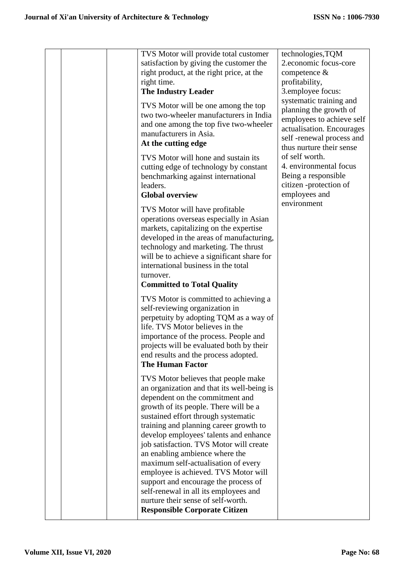|  | TVS Motor will provide total customer<br>satisfaction by giving the customer the<br>right product, at the right price, at the<br>right time.<br><b>The Industry Leader</b><br>TVS Motor will be one among the top<br>two two-wheeler manufacturers in India<br>and one among the top five two-wheeler<br>manufacturers in Asia.<br>At the cutting edge<br>TVS Motor will hone and sustain its<br>cutting edge of technology by constant<br>benchmarking against international                                                                                                                                       | technologies, TQM<br>2.economic focus-core<br>competence &<br>profitability,<br>3.employee focus:<br>systematic training and<br>planning the growth of<br>employees to achieve self<br>actualisation. Encourages<br>self-renewal process and<br>thus nurture their sense<br>of self worth.<br>4. environmental focus |
|--|---------------------------------------------------------------------------------------------------------------------------------------------------------------------------------------------------------------------------------------------------------------------------------------------------------------------------------------------------------------------------------------------------------------------------------------------------------------------------------------------------------------------------------------------------------------------------------------------------------------------|----------------------------------------------------------------------------------------------------------------------------------------------------------------------------------------------------------------------------------------------------------------------------------------------------------------------|
|  | leaders.                                                                                                                                                                                                                                                                                                                                                                                                                                                                                                                                                                                                            | Being a responsible<br>citizen -protection of                                                                                                                                                                                                                                                                        |
|  | <b>Global overview</b>                                                                                                                                                                                                                                                                                                                                                                                                                                                                                                                                                                                              | employees and<br>environment                                                                                                                                                                                                                                                                                         |
|  | TVS Motor will have profitable<br>operations overseas especially in Asian<br>markets, capitalizing on the expertise<br>developed in the areas of manufacturing,<br>technology and marketing. The thrust<br>will be to achieve a significant share for<br>international business in the total<br>turnover.<br><b>Committed to Total Quality</b>                                                                                                                                                                                                                                                                      |                                                                                                                                                                                                                                                                                                                      |
|  | TVS Motor is committed to achieving a<br>self-reviewing organization in<br>perpetuity by adopting TQM as a way of<br>life. TVS Motor believes in the<br>importance of the process. People and<br>projects will be evaluated both by their<br>end results and the process adopted.<br><b>The Human Factor</b>                                                                                                                                                                                                                                                                                                        |                                                                                                                                                                                                                                                                                                                      |
|  | TVS Motor believes that people make<br>an organization and that its well-being is<br>dependent on the commitment and<br>growth of its people. There will be a<br>sustained effort through systematic<br>training and planning career growth to<br>develop employees' talents and enhance<br>job satisfaction. TVS Motor will create<br>an enabling ambience where the<br>maximum self-actualisation of every<br>employee is achieved. TVS Motor will<br>support and encourage the process of<br>self-renewal in all its employees and<br>nurture their sense of self-worth.<br><b>Responsible Corporate Citizen</b> |                                                                                                                                                                                                                                                                                                                      |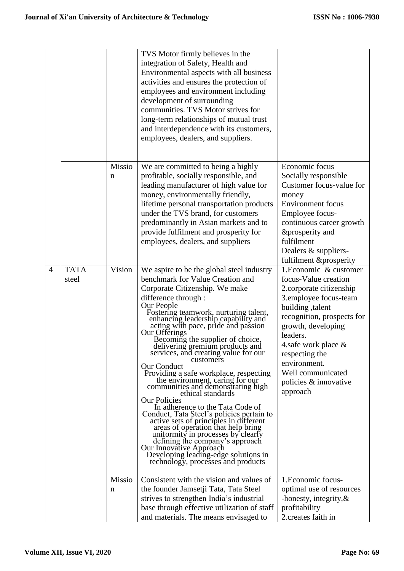|   |                      |                       | TVS Motor firmly believes in the<br>integration of Safety, Health and<br>Environmental aspects with all business<br>activities and ensures the protection of<br>employees and environment including<br>development of surrounding<br>communities. TVS Motor strives for<br>long-term relationships of mutual trust<br>and interdependence with its customers,<br>employees, dealers, and suppliers.                                                                                                                                                                                                                                                                                                                                                                                                                                                                                                                                                        |                                                                                                                                                                                                                                                                                                              |
|---|----------------------|-----------------------|------------------------------------------------------------------------------------------------------------------------------------------------------------------------------------------------------------------------------------------------------------------------------------------------------------------------------------------------------------------------------------------------------------------------------------------------------------------------------------------------------------------------------------------------------------------------------------------------------------------------------------------------------------------------------------------------------------------------------------------------------------------------------------------------------------------------------------------------------------------------------------------------------------------------------------------------------------|--------------------------------------------------------------------------------------------------------------------------------------------------------------------------------------------------------------------------------------------------------------------------------------------------------------|
|   |                      | Missio<br>$\mathbf n$ | We are committed to being a highly<br>profitable, socially responsible, and<br>leading manufacturer of high value for<br>money, environmentally friendly,<br>lifetime personal transportation products<br>under the TVS brand, for customers<br>predominantly in Asian markets and to<br>provide fulfilment and prosperity for<br>employees, dealers, and suppliers                                                                                                                                                                                                                                                                                                                                                                                                                                                                                                                                                                                        | Economic focus<br>Socially responsible<br>Customer focus-value for<br>money<br><b>Environment</b> focus<br>Employee focus-<br>continuous career growth<br>&prosperity and<br>fulfilment<br>Dealers & suppliers-<br>fulfilment &prosperity                                                                    |
| 4 | <b>TATA</b><br>steel | Vision                | We aspire to be the global steel industry<br>benchmark for Value Creation and<br>Corporate Citizenship. We make<br>difference through :<br>Our People<br>Fostering teamwork, nurturing talent,<br>enhancing leadership capability and<br>acting with pace, pride and passion<br>Our Offerings<br>Becoming the supplier of choice,<br>delivering premium products and<br>services, and creating value for our<br>customers<br>Our Conduct<br>Providing a safe workplace, respecting<br>the environment, caring for our<br>communities and demonstrating high<br>ethical standards<br><b>Our Policies</b><br>In adherence to the Tata Code of<br>Conduct, Tata Steel's policies pertain to<br>active sets of principles in different<br>areas of operation that help bring<br>uniformity in processes by clearly<br>defining the company's approach<br>Our Innovative Approach<br>Developing leading-edge solutions in<br>technology, processes and products | 1. Economic & customer<br>focus-Value creation<br>2.corporate citizenship<br>3.employee focus-team<br>building, talent<br>recognition, prospects for<br>growth, developing<br>leaders.<br>4.safe work place $\&$<br>respecting the<br>environment.<br>Well communicated<br>policies & innovative<br>approach |
|   |                      | Missio<br>n           | Consistent with the vision and values of<br>the founder Jamsetji Tata, Tata Steel<br>strives to strengthen India's industrial<br>base through effective utilization of staff<br>and materials. The means envisaged to                                                                                                                                                                                                                                                                                                                                                                                                                                                                                                                                                                                                                                                                                                                                      | 1. Economic focus-<br>optimal use of resources<br>-honesty, integrity, $\&$<br>profitability<br>2.creates faith in                                                                                                                                                                                           |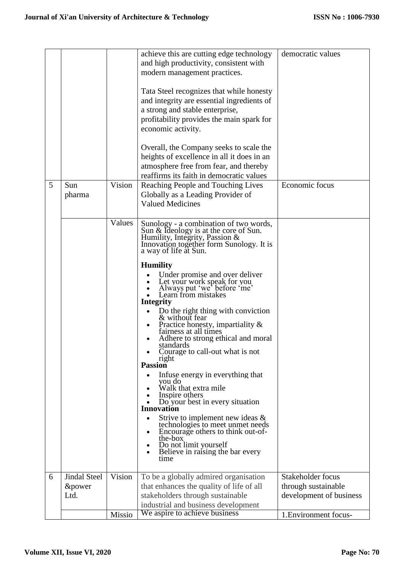| achieve this are cutting edge technology<br>democratic values<br>and high productivity, consistent with<br>modern management practices.<br>Tata Steel recognizes that while honesty<br>and integrity are essential ingredients of<br>a strong and stable enterprise,<br>profitability provides the main spark for<br>Overall, the Company seeks to scale the<br>heights of excellence in all it does in an<br>atmosphere free from fear, and thereby<br>reaffirms its faith in democratic values                                                                                                                                                                     |
|----------------------------------------------------------------------------------------------------------------------------------------------------------------------------------------------------------------------------------------------------------------------------------------------------------------------------------------------------------------------------------------------------------------------------------------------------------------------------------------------------------------------------------------------------------------------------------------------------------------------------------------------------------------------|
| Reaching People and Touching Lives<br>Economic focus<br>Globally as a Leading Provider of                                                                                                                                                                                                                                                                                                                                                                                                                                                                                                                                                                            |
| Sunology - a combination of two words,<br>Sun & Ideology is at the core of Sun.<br>Humility, Integrity, Passion &<br>Innovation together form Sunology. It is<br>Under promise and over deliver<br>Let your work speak for you<br>Always put 'we' before 'me'<br>Do the right thing with conviction<br>Practice honesty, impartiality &<br>Adhere to strong ethical and moral<br>Courage to call-out what is not<br>In fuse energy in everything that<br>Do your best in every situation<br>Strive to implement new ideas $\&$<br>technologies to meet unmet needs<br>Encourage others to think out-of-<br>Do not limit yourself<br>Believe in raising the bar every |
| Stakeholder focus<br>To be a globally admired organisation                                                                                                                                                                                                                                                                                                                                                                                                                                                                                                                                                                                                           |
| that enhances the quality of life of all<br>through sustainable                                                                                                                                                                                                                                                                                                                                                                                                                                                                                                                                                                                                      |
|                                                                                                                                                                                                                                                                                                                                                                                                                                                                                                                                                                                                                                                                      |
| stakeholders through sustainable<br>development of business<br>industrial and business development                                                                                                                                                                                                                                                                                                                                                                                                                                                                                                                                                                   |
|                                                                                                                                                                                                                                                                                                                                                                                                                                                                                                                                                                                                                                                                      |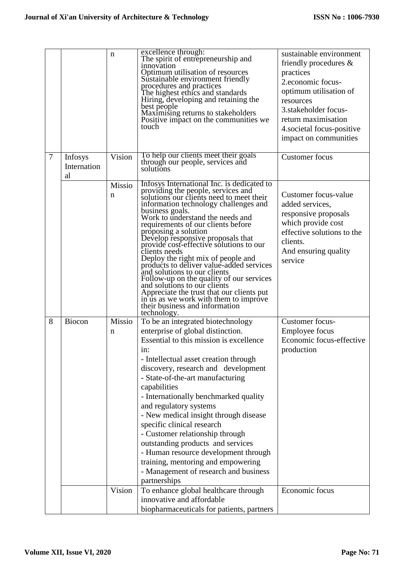|        |                                     | n           | excellence through:<br>The spirit of entrepreneurship and<br>innovation<br>Optimum utilisation of resources<br>Sustainable environment friendly<br>procedures and practices<br>The highest ethics and standards<br>Hiring, developing and retaining the<br>best people<br>Maximising returns to stakeholders<br>Positive impact on the communities we<br>touch                                                                                                                                                                                                                                                                                                                                                                   | sustainable environment<br>friendly procedures $\&$<br>practices<br>2.economic focus-<br>optimum utilisation of<br>resources<br>3.stakeholder focus-<br>return maximisation<br>4. societal focus-positive<br>impact on communities |
|--------|-------------------------------------|-------------|----------------------------------------------------------------------------------------------------------------------------------------------------------------------------------------------------------------------------------------------------------------------------------------------------------------------------------------------------------------------------------------------------------------------------------------------------------------------------------------------------------------------------------------------------------------------------------------------------------------------------------------------------------------------------------------------------------------------------------|------------------------------------------------------------------------------------------------------------------------------------------------------------------------------------------------------------------------------------|
| $\tau$ | <b>Infosys</b><br>Internation<br>al | Vision      | To help our clients meet their goals<br>through our people, services and<br>solutions                                                                                                                                                                                                                                                                                                                                                                                                                                                                                                                                                                                                                                            | <b>Customer</b> focus                                                                                                                                                                                                              |
|        |                                     | Missio<br>n | Infosys International Inc. is dedicated to<br>providing the people, services and<br>solutions our clients need to meet their<br>information technology challenges and<br>business goals.<br>Work to understand the needs and<br>requirements of our clients before<br>proposing a solution<br>Develop responsive proposals that<br>provide cost-effective solutions to our<br>clients needs<br>Deploy the right mix of people and<br>products to deliver value-added services<br>and solutions to our clients<br>Follow-up on the quality of our services<br>and solutions to our clients<br>Appreciate the trust that our clients put<br>in us as we work with them to improve<br>their business and information<br>technology. | Customer focus-value<br>added services,<br>responsive proposals<br>which provide cost<br>effective solutions to the<br>clients.<br>And ensuring quality<br>service                                                                 |
| 8      | Biocon                              | Missio<br>n | To be an integrated biotechnology<br>enterprise of global distinction.<br>Essential to this mission is excellence<br>$1n$ :<br>- Intellectual asset creation through<br>discovery, research and development<br>- State-of-the-art manufacturing<br>capabilities<br>- Internationally benchmarked quality<br>and regulatory systems<br>- New medical insight through disease<br>specific clinical research<br>- Customer relationship through<br>outstanding products and services<br>- Human resource development through<br>training, mentoring and empowering<br>- Management of research and business<br>partnerships                                                                                                         | Customer focus-<br><b>Employee focus</b><br>Economic focus-effective<br>production                                                                                                                                                 |
|        |                                     | Vision      | To enhance global healthcare through<br>innovative and affordable<br>biopharmaceuticals for patients, partners                                                                                                                                                                                                                                                                                                                                                                                                                                                                                                                                                                                                                   | Economic focus                                                                                                                                                                                                                     |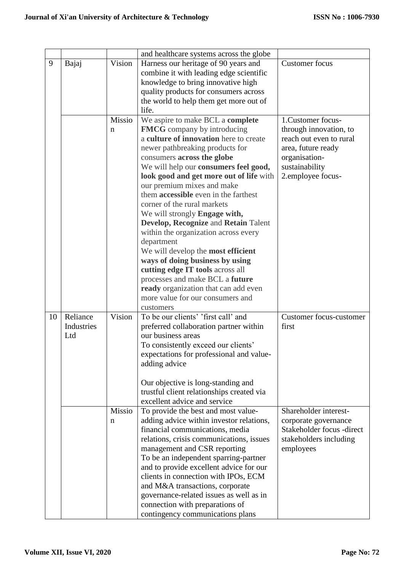|    |                                         |        | and healthcare systems across the globe                                  |                                |
|----|-----------------------------------------|--------|--------------------------------------------------------------------------|--------------------------------|
| 9  | Bajaj                                   | Vision | Harness our heritage of 90 years and                                     | <b>Customer</b> focus          |
|    |                                         |        | combine it with leading edge scientific                                  |                                |
|    |                                         |        | knowledge to bring innovative high                                       |                                |
|    | quality products for consumers across   |        |                                                                          |                                |
|    | the world to help them get more out of  |        |                                                                          |                                |
|    |                                         |        | life.                                                                    |                                |
|    |                                         | Missio | We aspire to make BCL a complete                                         | 1. Customer focus-             |
|    |                                         | n      | <b>FMCG</b> company by introducing                                       | through innovation, to         |
|    |                                         |        | a culture of innovation here to create                                   | reach out even to rural        |
|    |                                         |        | newer pathbreaking products for                                          | area, future ready             |
|    |                                         |        | consumers across the globe                                               | organisation-                  |
|    |                                         |        | We will help our consumers feel good,                                    | sustainability                 |
|    |                                         |        | look good and get more out of life with                                  | 2.employee focus-              |
|    |                                         |        | our premium mixes and make                                               |                                |
|    |                                         |        | them accessible even in the farthest                                     |                                |
|    |                                         |        | corner of the rural markets                                              |                                |
|    |                                         |        | We will strongly Engage with,                                            |                                |
|    |                                         |        | Develop, Recognize and Retain Talent                                     |                                |
|    |                                         |        | within the organization across every                                     |                                |
|    |                                         |        | department                                                               |                                |
|    |                                         |        | We will develop the most efficient                                       |                                |
|    |                                         |        | ways of doing business by using                                          |                                |
|    |                                         |        | cutting edge IT tools across all                                         |                                |
|    |                                         |        | processes and make BCL a future                                          |                                |
|    |                                         |        | ready organization that can add even<br>more value for our consumers and |                                |
|    |                                         |        | customers                                                                |                                |
| 10 | Reliance                                | Vision | To be our clients' 'first call' and                                      | <b>Customer focus-customer</b> |
|    | Industries                              |        | preferred collaboration partner within                                   | first                          |
|    | Ltd                                     |        | our business areas                                                       |                                |
|    |                                         |        | To consistently exceed our clients'                                      |                                |
|    |                                         |        | expectations for professional and value-                                 |                                |
|    |                                         |        | adding advice                                                            |                                |
|    |                                         |        |                                                                          |                                |
|    |                                         |        | Our objective is long-standing and                                       |                                |
|    |                                         |        | trustful client relationships created via                                |                                |
|    |                                         |        | excellent advice and service                                             |                                |
|    |                                         | Missio | To provide the best and most value-                                      | Shareholder interest-          |
|    |                                         | n      | adding advice within investor relations,                                 | corporate governance           |
|    |                                         |        | financial communications, media                                          | Stakeholder focus -direct      |
|    |                                         |        | relations, crisis communications, issues                                 | stakeholders including         |
|    |                                         |        | management and CSR reporting                                             | employees                      |
|    |                                         |        | To be an independent sparring-partner                                    |                                |
|    |                                         |        | and to provide excellent advice for our                                  |                                |
|    |                                         |        | clients in connection with IPOs, ECM                                     |                                |
|    |                                         |        | and M&A transactions, corporate                                          |                                |
|    | governance-related issues as well as in |        |                                                                          |                                |
|    |                                         |        | connection with preparations of                                          |                                |
|    |                                         |        | contingency communications plans                                         |                                |